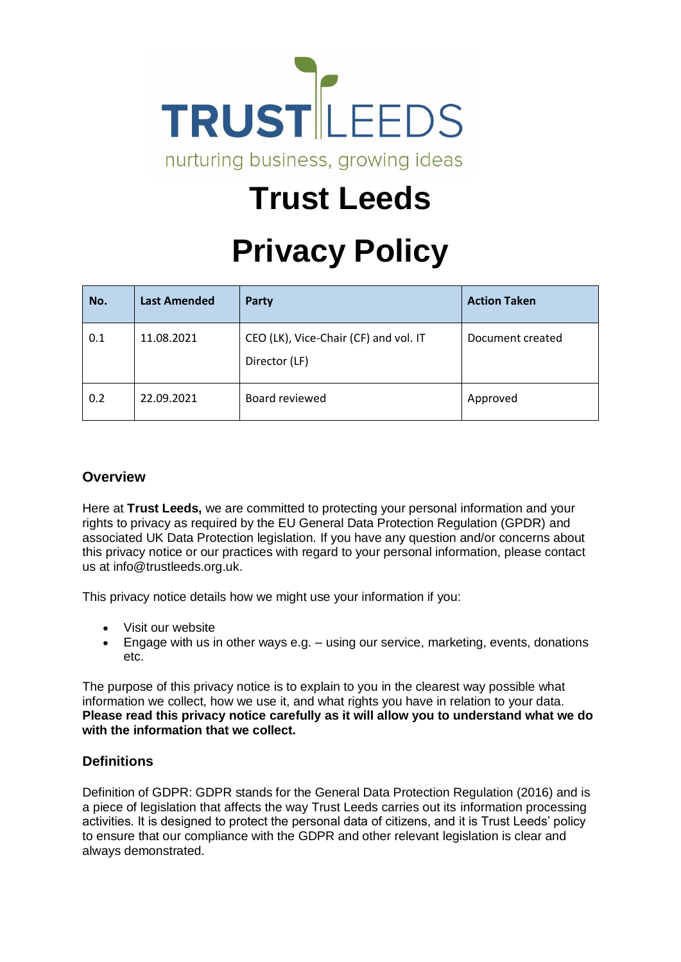

# **Trust Leeds**

# **Privacy Policy**

| No. | <b>Last Amended</b> | <b>Party</b>                                           | <b>Action Taken</b> |
|-----|---------------------|--------------------------------------------------------|---------------------|
| 0.1 | 11.08.2021          | CEO (LK), Vice-Chair (CF) and vol. IT<br>Director (LF) | Document created    |
| 0.2 | 22.09.2021          | Board reviewed                                         | Approved            |

### **Overview**

Here at **Trust Leeds,** we are committed to protecting your personal information and your rights to privacy as required by the EU General Data Protection Regulation (GPDR) and associated UK Data Protection legislation. If you have any question and/or concerns about this privacy notice or our practices with regard to your personal information, please contact us at info@trustleeds.org.uk.

This privacy notice details how we might use your information if you:

- Visit our website
- Engage with us in other ways e.g. using our service, marketing, events, donations etc.

The purpose of this privacy notice is to explain to you in the clearest way possible what information we collect, how we use it, and what rights you have in relation to your data. **Please read this privacy notice carefully as it will allow you to understand what we do with the information that we collect.**

### **Definitions**

Definition of GDPR: GDPR stands for the General Data Protection Regulation (2016) and is a piece of legislation that affects the way Trust Leeds carries out its information processing activities. It is designed to protect the personal data of citizens, and it is Trust Leeds' policy to ensure that our compliance with the GDPR and other relevant legislation is clear and always demonstrated.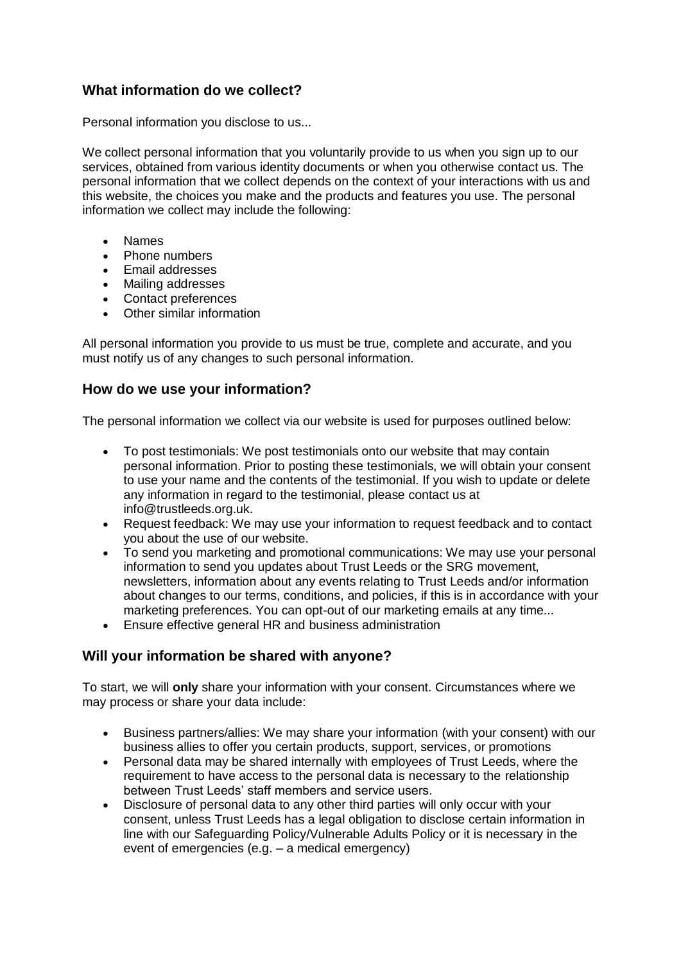## **What information do we collect?**

Personal information you disclose to us...

We collect personal information that you voluntarily provide to us when you sign up to our services, obtained from various identity documents or when you otherwise contact us. The personal information that we collect depends on the context of your interactions with us and this website, the choices you make and the products and features you use. The personal information we collect may include the following:

- Names
- Phone numbers
- Email addresses
- Mailing addresses
- Contact preferences
- Other similar information

All personal information you provide to us must be true, complete and accurate, and you must notify us of any changes to such personal information.

## **How do we use your information?**

The personal information we collect via our website is used for purposes outlined below:

- To post testimonials: We post testimonials onto our website that may contain personal information. Prior to posting these testimonials, we will obtain your consent to use your name and the contents of the testimonial. If you wish to update or delete any information in regard to the testimonial, please contact us at info@trustleeds.org.uk.
- Request feedback: We may use your information to request feedback and to contact you about the use of our website.
- To send you marketing and promotional communications: We may use your personal information to send you updates about Trust Leeds or the SRG movement, newsletters, information about any events relating to Trust Leeds and/or information about changes to our terms, conditions, and policies, if this is in accordance with your marketing preferences. You can opt-out of our marketing emails at any time...
- Ensure effective general HR and business administration

## **Will your information be shared with anyone?**

To start, we will **only** share your information with your consent. Circumstances where we may process or share your data include:

- Business partners/allies: We may share your information (with your consent) with our business allies to offer you certain products, support, services, or promotions
- Personal data may be shared internally with employees of Trust Leeds, where the requirement to have access to the personal data is necessary to the relationship between Trust Leeds' staff members and service users.
- Disclosure of personal data to any other third parties will only occur with your consent, unless Trust Leeds has a legal obligation to disclose certain information in line with our Safeguarding Policy/Vulnerable Adults Policy or it is necessary in the event of emergencies (e.g. – a medical emergency)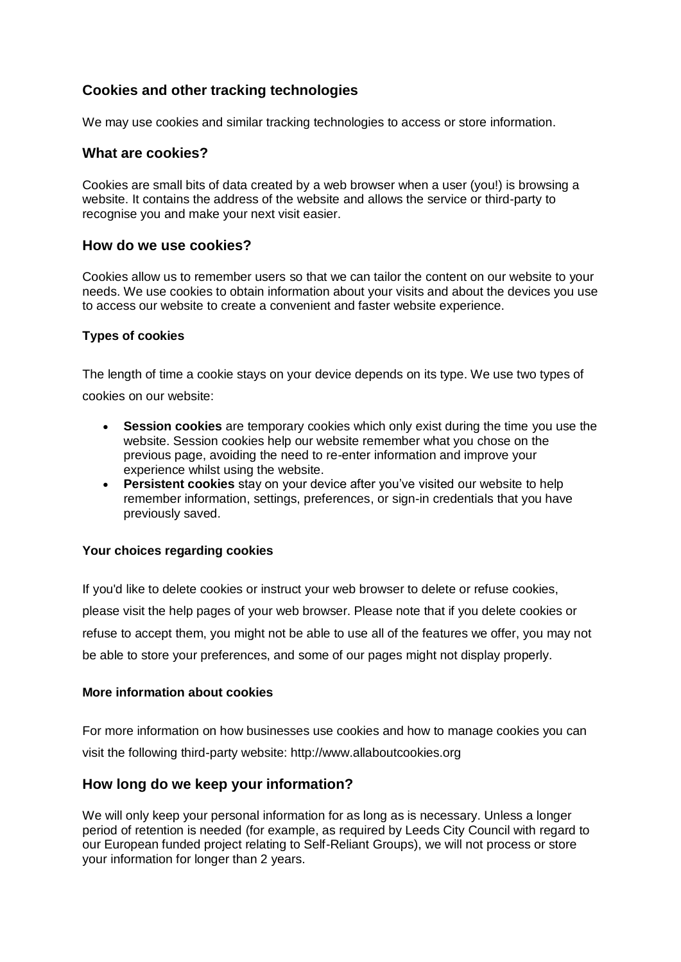## **Cookies and other tracking technologies**

We may use cookies and similar tracking technologies to access or store information.

### **What are cookies?**

Cookies are small bits of data created by a web browser when a user (you!) is browsing a website. It contains the address of the website and allows the service or third-party to recognise you and make your next visit easier.

### **How do we use cookies?**

Cookies allow us to remember users so that we can tailor the content on our website to your needs. We use cookies to obtain information about your visits and about the devices you use to access our website to create a convenient and faster website experience.

#### **Types of cookies**

The length of time a cookie stays on your device depends on its type. We use two types of cookies on our website:

- **Session cookies** are temporary cookies which only exist during the time you use the website. Session cookies help our website remember what you chose on the previous page, avoiding the need to re-enter information and improve your experience whilst using the website.
- **Persistent cookies** stay on your device after you've visited our website to help remember information, settings, preferences, or sign-in credentials that you have previously saved.

#### **Your choices regarding cookies**

If you'd like to delete cookies or instruct your web browser to delete or refuse cookies, please visit the help pages of your web browser. Please note that if you delete cookies or refuse to accept them, you might not be able to use all of the features we offer, you may not be able to store your preferences, and some of our pages might not display properly.

#### **More information about cookies**

For more information on how businesses use cookies and how to manage cookies you can visit the following third-party website: http://www.allaboutcookies.org

### **How long do we keep your information?**

We will only keep your personal information for as long as is necessary. Unless a longer period of retention is needed (for example, as required by Leeds City Council with regard to our European funded project relating to Self-Reliant Groups), we will not process or store your information for longer than 2 years.